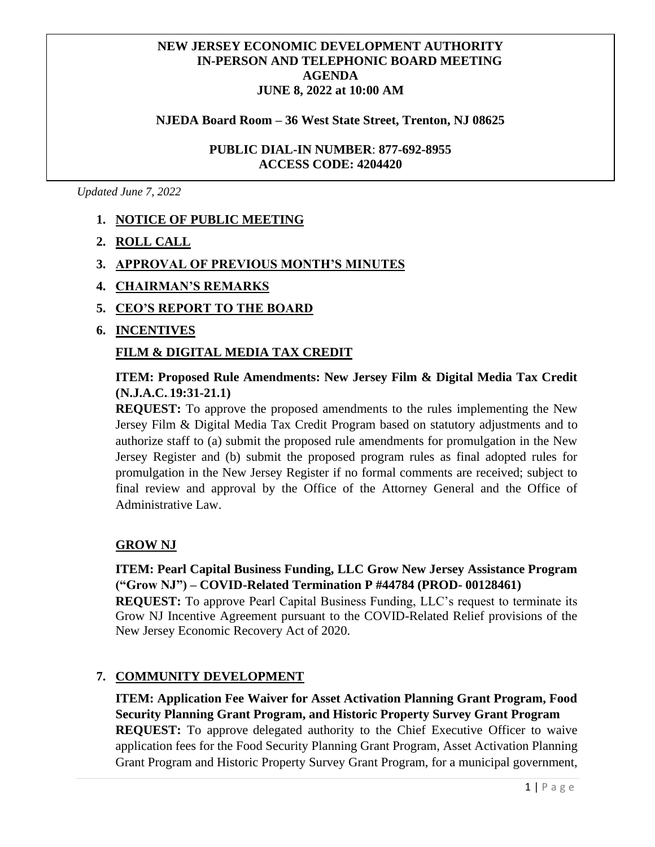## **NJEDA BOARD AGENDA JUNE 8, 2022 at 10:00 AM NEW JERSEY ECONOMIC DEVELOPMENT AUTHORITY IN-PERSON AND TELEPHONIC BOARD MEETING AGENDA**

#### **MARCH 10, 2020 NJEDA Board Room – 36 West State Street, Trenton, NJ 08625**

#### **PUBLIC DIAL-IN NUMBER**: **877-692-8955 ACCESS CODE: 4204420**

*Updated June 7, 2022*

# **1. NOTICE OF PUBLIC MEETING**

- **2. ROLL CALL**
- **3. APPROVAL OF PREVIOUS MONTH'S MINUTES**
- **4. CHAIRMAN'S REMARKS**
- **5. CEO'S REPORT TO THE BOARD**
- **6. INCENTIVES**

#### **FILM & DIGITAL MEDIA TAX CREDIT**

## **ITEM: Proposed Rule Amendments: New Jersey Film & Digital Media Tax Credit**   $(N.J.A.C.19:31-21.1)$

**REQUEST:** To approve the proposed amendments to the rules implementing the New Jersey Film & Digital Media Tax Credit Program based on statutory adjustments and to authorize staff to (a) submit the proposed rule amendments for promulgation in the New Jersey Register and (b) submit the proposed program rules as final adopted rules for promulgation in the New Jersey Register if no formal comments are received; subject to final review and approval by the Office of the Attorney General and the Office of Administrative Law.

#### **GROW NJ**

# **ITEM: Pearl Capital Business Funding, LLC Grow New Jersey Assistance Program ("Grow NJ") – COVID-Related Termination P #44784 (PROD- 00128461)**

**REQUEST:** To approve Pearl Capital Business Funding, LLC's request to terminate its Grow NJ Incentive Agreement pursuant to the COVID-Related Relief provisions of the New Jersey Economic Recovery Act of 2020.

#### **7. COMMUNITY DEVELOPMENT**

**ITEM: Application Fee Waiver for Asset Activation Planning Grant Program, Food Security Planning Grant Program, and Historic Property Survey Grant Program REQUEST:** To approve delegated authority to the Chief Executive Officer to waive application fees for the Food Security Planning Grant Program, Asset Activation Planning Grant Program and Historic Property Survey Grant Program, for a municipal government,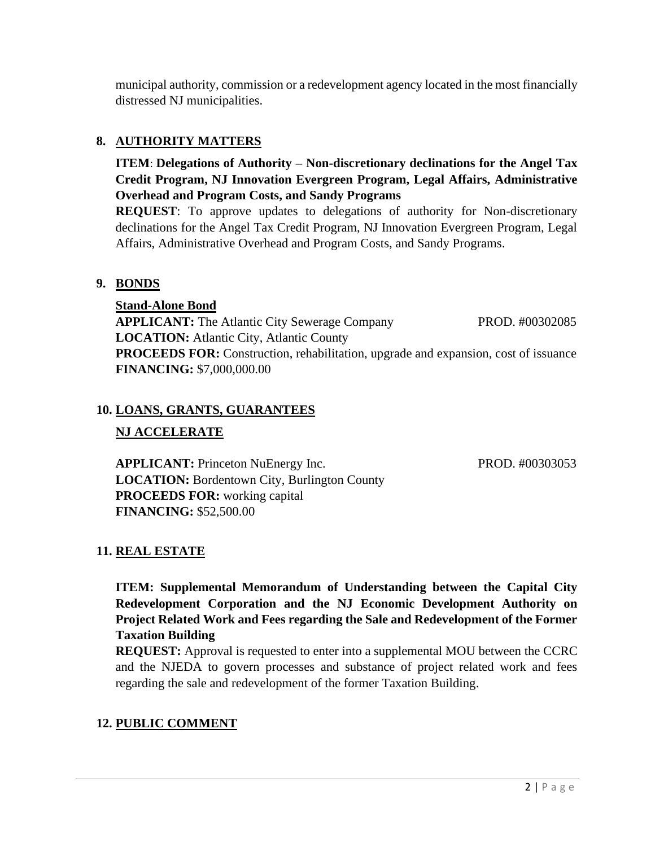municipal authority, commission or a redevelopment agency located in the most financially distressed NJ municipalities.

# **8. AUTHORITY MATTERS**

**ITEM**: **Delegations of Authority – Non-discretionary declinations for the Angel Tax Credit Program, NJ Innovation Evergreen Program, Legal Affairs, Administrative Overhead and Program Costs, and Sandy Programs**

**REQUEST**: To approve updates to delegations of authority for Non-discretionary declinations for the Angel Tax Credit Program, NJ Innovation Evergreen Program, Legal Affairs, Administrative Overhead and Program Costs, and Sandy Programs.

#### **9. BONDS**

**Stand-Alone Bond APPLICANT:** The Atlantic City Sewerage CompanyPROD. #00302085 **LOCATION:** Atlantic City, Atlantic County **PROCEEDS FOR:** Construction, rehabilitation, upgrade and expansion, cost of issuance **FINANCING:** \$7,000,000.00

#### **10. LOANS, GRANTS, GUARANTEES**

#### **NJ ACCELERATE**

**APPLICANT:** Princeton NuEnergy Inc. PROD. #00303053 **LOCATION:** Bordentown City, Burlington County **PROCEEDS FOR:** working capital **FINANCING:** \$52,500.00

# **11. REAL ESTATE**

**ITEM: Supplemental Memorandum of Understanding between the Capital City Redevelopment Corporation and the NJ Economic Development Authority on Project Related Work and Fees regarding the Sale and Redevelopment of the Former Taxation Building**

**REQUEST:** Approval is requested to enter into a supplemental MOU between the CCRC and the NJEDA to govern processes and substance of project related work and fees regarding the sale and redevelopment of the former Taxation Building.

#### **12. PUBLIC COMMENT**